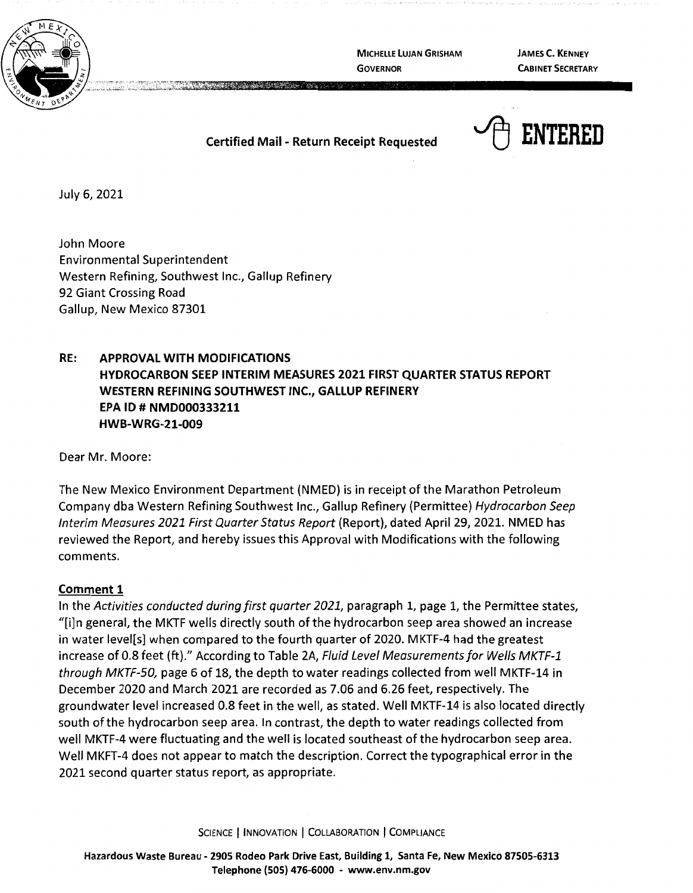

**MICHELLE LUJAN GRISHAM GOVERNOR** 

**JAMES C. KENNEY CABINET SECRETARY** 

## **Certified Mail** - **Return Receipt Requested**



July 6, 2021

John Moore Environmental Superintendent Western Refining, Southwest Inc., Gallup Refinery 92 Giant Crossing Road Gallup, New Mexico 87301

# **RE: APPROVAL WITH MODIFICATIONS HYDROCARBON SEEP INTERIM MEASURES 2021 FIRST QUARTER STATUS REPORT WESTERN REFINING SOUTHWEST INC., GALLUP REFINERY EPA** ID# **NMD000333211 HWB-WRG-21-009**

Dear Mr. Moore:

The New Mexico Environment Department (NMED) is in receipt of the Marathon Petroleum Company dba Western Refining Southwest Inc., Gallup Refinery (Permittee) Hydrocarbon Seep Interim Measures 2021 First Quarter Status Report (Report), dated April 29, 2021. NMED has reviewed the Report, and hereby issues this Approval with Modifications with the following comments.

### **Comment 1**

In the Activities conducted during first quarter 2021, paragraph 1, page 1, the Permittee states, "[i]n general, the MKTF wells directly south of the hydrocarbon seep area showed an increase in water level[s] when compared to the fourth quarter of 2020. MKTF-4 had the greatest increase of 0.8 feet (ft)." According to Table 2A, Fluid Level Measurements for Wells MKTF-1 through MKTF-50, page 6 of 18, the depth to water readings collected from well MKTF-14 in December 2020 and March 2021 are recorded as 7.06 and 6.26 feet, respectively. The groundwater level increased 0.8 feet in the well, as stated. Well MKTF-14 is also located directly south of the hydrocarbon seep area. In contrast, the depth to water readings collected from well MKTF-4 were fluctuating and the well is located southeast of the hydrocarbon seep area. Well MKFT-4 does not appear to match the description. Correct the typographical error in the 2021 second quarter status report, as appropriate.

SCIENCE | INNOVATION | COLLABORATION | COMPLIANCE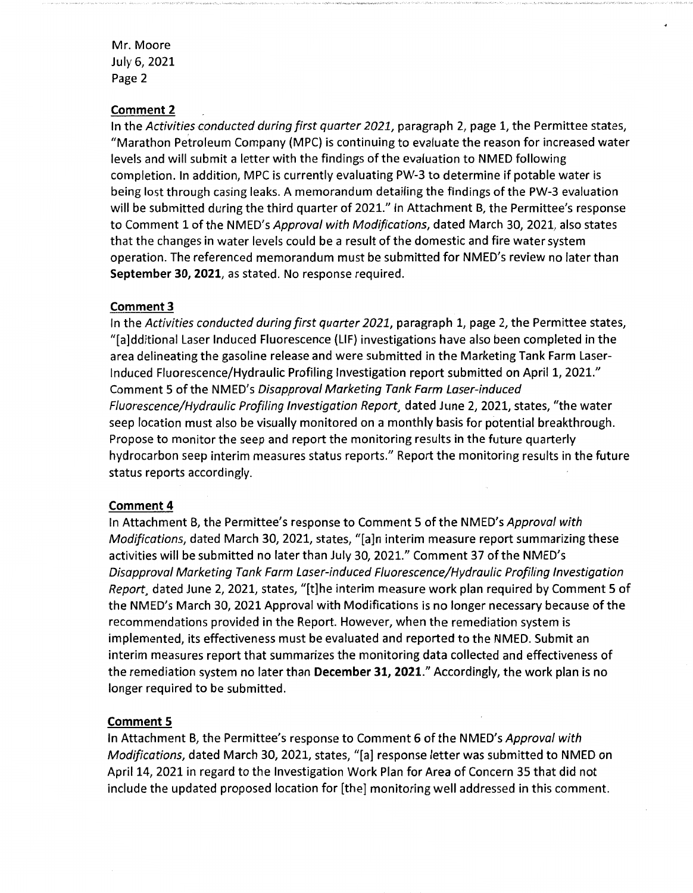Mr. Moore July 6, 2021 Page 2

#### **Comment 2**

In the Activities conducted during first quarter 2021, paragraph 2, page 1, the Permittee states, "Marathon Petroleum Company (MPC) is continuing to evaluate the reason for increased water levels and will submit a letter with the findings of the evaluation to NMED following completion. In addition, MPC is currently evaluating PW-3 to determine if potable water is being lost through casing leaks. A memorandum detailing the findings of the PW-3 evaluation will be submitted during the third quarter of 2021." In Attachment B, the Permittee's response to Comment 1 of the NMED's Approval with Modifications, dated March 30, 2021, also states that the changes in water levels could be a result of the domestic and fire water system operation. The referenced memorandum must be submitted for NMED's review no later than **September 30, 2021,** as stated. No response required.

#### **Comment 3**

In the Activities conducted during first quarter 2021, paragraph 1, page 2, the Permittee states, "[a]dditional Laser Induced Fluorescence (LIF) investigations have also been completed in the area delineating the gasoline release and were submitted in the Marketing Tank Farm Laser-Induced Fluorescence/Hydraulic Profiling Investigation report submitted on April 1, 2021." Comment 5 of the NMED's Disapproval Marketing Tank Farm Laser-induced Fluorescence/Hydraulic Profiling Investigation Report, dated June 2, 2021, states, "the water seep location must also be visually monitored on a monthly basis for potential breakthrough. Propose to monitor the seep and report the monitoring results in the future quarterly hydrocarbon seep interim measures status reports." Report the monitoring results in the future status reports accordingly.

#### **Comment4**

In Attachment B, the Permittee's response to Comment 5 of the NMED's Approval with Modifications, dated March 30, 2021, states, "[a]n interim measure report summarizing these activities will be submitted no later than July 30, 2021." Comment 37 of the NMED's Disapproval Marketing Tank Farm Laser-induced Fluorescence/Hydraulic Profiling Investigation Report, dated June 2, 2021, states, "[t]he interim measure work plan required by Comment 5 of the NMED's March 30, 2021 Approval with Modifications is no longer necessary because of the recommendations provided in the Report. However, when the remediation system is implemented, its effectiveness must be evaluated and reported to the NMED. Submit an interim measures report that summarizes the monitoring data collected and effectiveness of the remediation system no later than **December 31, 2021."** Accordingly, the work plan is no longer required to be submitted.

#### **Comment 5**

In Attachment B, the Permittee's response to Comment 6 of the NMED's Approval with Modifications, dated March 30, 2021, states, "[a] response letter was submitted to NMED on April 14, 2021 in regard to the Investigation Work Plan for Area of Concern 35 that did not include the updated proposed location for [the] monitoring well addressed in this comment.